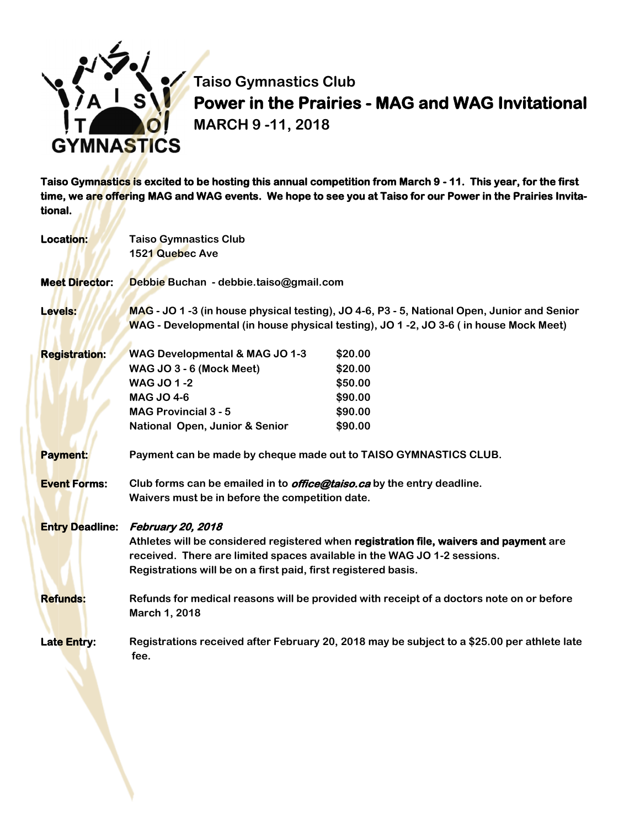

**Taiso Gymnastics Club Power in the Prairies - MAG and WAG Invitational MARCH 9 -11, 2018**

**Taiso Gymnastics is excited to be hosting this annual competition from March 9 - 11. This year, for the first time, we are offering MAG and WAG events. We hope to see you at Taiso for our Power in the Prairies Invitational.** 

| <b>Location:</b>       | <b>Taiso Gymnastics Club</b><br>1521 Quebec Ave                                                                                                                                                                                                           |                                                                |  |
|------------------------|-----------------------------------------------------------------------------------------------------------------------------------------------------------------------------------------------------------------------------------------------------------|----------------------------------------------------------------|--|
| <b>Meet Director:</b>  | Debbie Buchan - debbie.taiso@gmail.com                                                                                                                                                                                                                    |                                                                |  |
| <b>Levels:</b>         | MAG - JO 1 -3 (in house physical testing), JO 4-6, P3 - 5, National Open, Junior and Senior<br>WAG - Developmental (in house physical testing), JO 1 -2, JO 3-6 (in house Mock Meet)                                                                      |                                                                |  |
| <b>Registration:</b>   | <b>WAG Developmental &amp; MAG JO 1-3</b><br>WAG JO 3 - 6 (Mock Meet)<br><b>WAG JO 1-2</b><br><b>MAG JO 4-6</b><br><b>MAG Provincial 3 - 5</b><br><b>National Open, Junior &amp; Senior</b>                                                               | \$20.00<br>\$20.00<br>\$50.00<br>\$90.00<br>\$90.00<br>\$90.00 |  |
| <b>Payment:</b>        | Payment can be made by cheque made out to TAISO GYMNASTICS CLUB.                                                                                                                                                                                          |                                                                |  |
| <b>Event Forms:</b>    | Club forms can be emailed in to <i>office@taiso.ca</i> by the entry deadline.<br>Waivers must be in before the competition date.                                                                                                                          |                                                                |  |
| <b>Entry Deadline:</b> | February 20, 2018<br>Athletes will be considered registered when registration file, waivers and payment are<br>received. There are limited spaces available in the WAG JO 1-2 sessions.<br>Registrations will be on a first paid, first registered basis. |                                                                |  |
| <b>Refunds:</b>        | Refunds for medical reasons will be provided with receipt of a doctors note on or before<br>March 1, 2018                                                                                                                                                 |                                                                |  |
| <b>Late Entry:</b>     | Registrations received after February 20, 2018 may be subject to a \$25.00 per athlete late<br>fee.                                                                                                                                                       |                                                                |  |